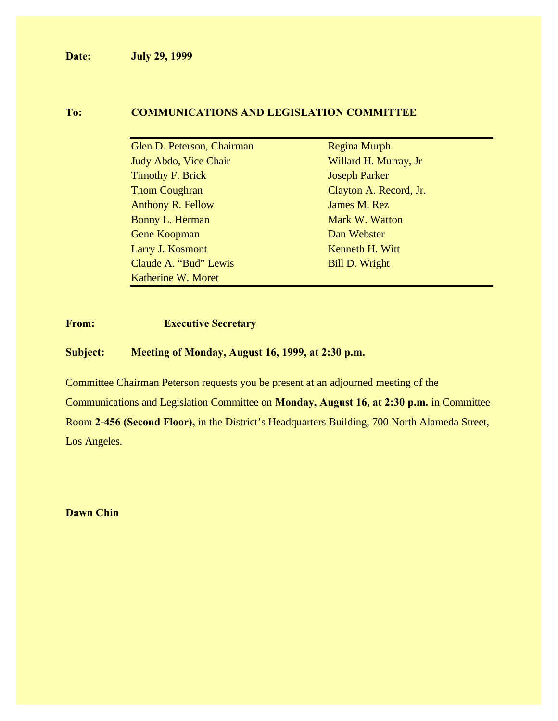**Date: July 29, 1999**

#### **To: COMMUNICATIONS AND LEGISLATION COMMITTEE**

| Glen D. Peterson, Chairman | <b>Regina Murph</b>    |
|----------------------------|------------------------|
| Judy Abdo, Vice Chair      | Willard H. Murray, Jr  |
| <b>Timothy F. Brick</b>    | <b>Joseph Parker</b>   |
| <b>Thom Coughran</b>       | Clayton A. Record, Jr. |
| <b>Anthony R. Fellow</b>   | James M. Rez           |
| Bonny L. Herman            | Mark W. Watton         |
| Gene Koopman               | Dan Webster            |
| Larry J. Kosmont           | Kenneth H. Witt        |
| Claude A. "Bud" Lewis      | <b>Bill D. Wright</b>  |
| Katherine W. Moret         |                        |

#### **From: Executive Secretary**

#### **Subject: Meeting of Monday, August 16, 1999, at 2:30 p.m.**

Committee Chairman Peterson requests you be present at an adjourned meeting of the Communications and Legislation Committee on **Monday, August 16, at 2:30 p.m.** in Committee Room **2-456 (Second Floor),** in the District's Headquarters Building, 700 North Alameda Street, Los Angeles.

**Dawn Chin**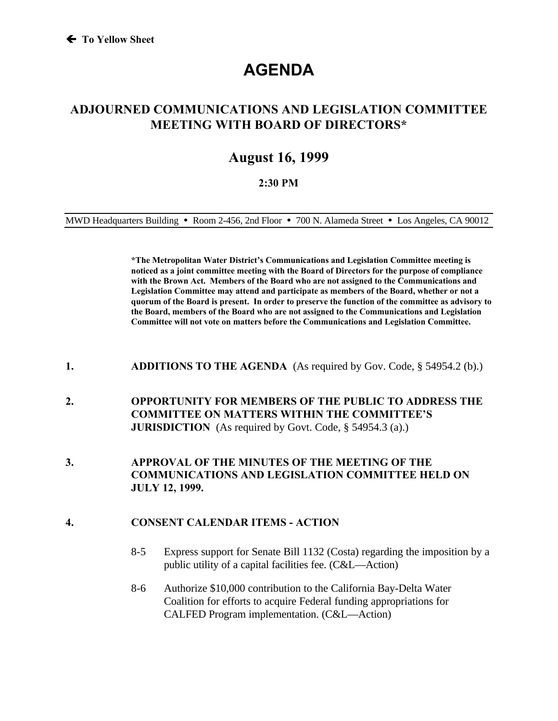# **AGENDA**

### **ADJOURNED COMMUNICATIONS AND LEGISLATION COMMITTEE MEETING WITH BOARD OF DIRECTORS\***

## **August 16, 1999**

#### **2:30 PM**

MWD Headquarters Building **ü** Room 2-456, 2nd Floor **ü** 700 N. Alameda Street **ü** Los Angeles, CA 90012

**\*The Metropolitan Water District's Communications and Legislation Committee meeting is noticed as a joint committee meeting with the Board of Directors for the purpose of compliance with the Brown Act. Members of the Board who are not assigned to the Communications and Legislation Committee may attend and participate as members of the Board, whether or not a quorum of the Board is present. In order to preserve the function of the committee as advisory to the Board, members of the Board who are not assigned to the Communications and Legislation Committee will not vote on matters before the Communications and Legislation Committee.**

- **1. ADDITIONS TO THE AGENDA** (As required by Gov. Code, § 54954.2 (b).)
- **2. OPPORTUNITY FOR MEMBERS OF THE PUBLIC TO ADDRESS THE COMMITTEE ON MATTERS WITHIN THE COMMITTEE'S JURISDICTION** (As required by Govt. Code, § 54954.3 (a).)
- **3. APPROVAL OF THE MINUTES OF THE MEETING OF THE COMMUNICATIONS AND LEGISLATION COMMITTEE HELD ON JULY 12, 1999.**

#### **4. CONSENT CALENDAR ITEMS - ACTION**

- 8-5 Express support for Senate Bill 1132 (Costa) regarding the imposition by a public utility of a capital facilities fee. (C&L—Action)
- 8-6 Authorize \$10,000 contribution to the California Bay-Delta Water Coalition for efforts to acquire Federal funding appropriations for CALFED Program implementation. (C&L—Action)